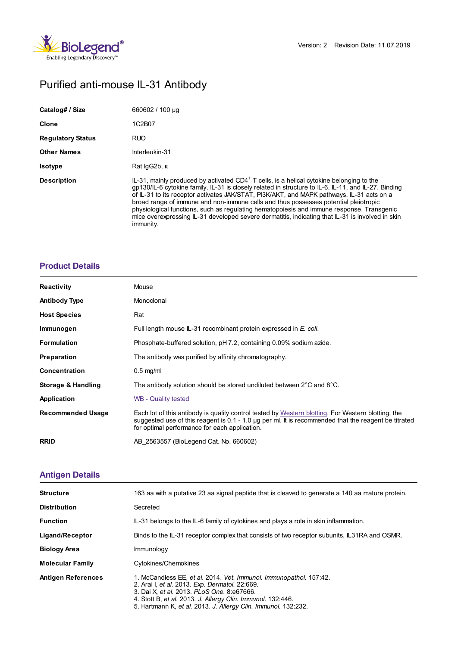

# Purified anti-mouse IL-31 Antibody

| Catalog# / Size          | 660602 / 100 µg                                                                                                                                                                                                                                                                                                                                                                                                                                                                                                                                                                                                   |
|--------------------------|-------------------------------------------------------------------------------------------------------------------------------------------------------------------------------------------------------------------------------------------------------------------------------------------------------------------------------------------------------------------------------------------------------------------------------------------------------------------------------------------------------------------------------------------------------------------------------------------------------------------|
| <b>Clone</b>             | 1C2B07                                                                                                                                                                                                                                                                                                                                                                                                                                                                                                                                                                                                            |
| <b>Regulatory Status</b> | <b>RUO</b>                                                                                                                                                                                                                                                                                                                                                                                                                                                                                                                                                                                                        |
| <b>Other Names</b>       | Interleukin-31                                                                                                                                                                                                                                                                                                                                                                                                                                                                                                                                                                                                    |
| <b>Isotype</b>           | Rat lgG2b, K                                                                                                                                                                                                                                                                                                                                                                                                                                                                                                                                                                                                      |
| <b>Description</b>       | $IL-31$ , mainly produced by activated CD4 <sup>+</sup> T cells, is a helical cytokine belonging to the<br>gp130/IL-6 cytokine family. IL-31 is closely related in structure to IL-6, IL-11, and IL-27. Binding<br>of IL-31 to its receptor activates JAK/STAT, PI3K/AKT, and MAPK pathways. IL-31 acts on a<br>broad range of immune and non-immune cells and thus possesses potential pleiotropic<br>physiological functions, such as regulating hematopoiesis and immune response. Transgenic<br>mice overexpressing IL-31 developed severe dermatitis, indicating that IL-31 is involved in skin<br>immunity. |

## **[Product](https://www.biolegend.com/fr-ch/products/purified-anti-mouse-il-31-antibody-9772?pdf=true&displayInline=true&leftRightMargin=15&topBottomMargin=15&filename=Purified anti-mouse IL-31 Antibody.pdf#productDetails) Details**

| <b>Reactivity</b>        | Mouse                                                                                                                                                                                                                                                       |
|--------------------------|-------------------------------------------------------------------------------------------------------------------------------------------------------------------------------------------------------------------------------------------------------------|
| <b>Antibody Type</b>     | Monoclonal                                                                                                                                                                                                                                                  |
| <b>Host Species</b>      | Rat                                                                                                                                                                                                                                                         |
| Immunogen                | Full length mouse IL-31 recombinant protein expressed in E. coli.                                                                                                                                                                                           |
| <b>Formulation</b>       | Phosphate-buffered solution, pH 7.2, containing 0.09% sodium azide.                                                                                                                                                                                         |
| <b>Preparation</b>       | The antibody was purified by affinity chromatography.                                                                                                                                                                                                       |
| <b>Concentration</b>     | $0.5$ mg/ml                                                                                                                                                                                                                                                 |
| Storage & Handling       | The antibody solution should be stored undiluted between $2^{\circ}$ C and $8^{\circ}$ C.                                                                                                                                                                   |
| Application              | WB - Quality tested                                                                                                                                                                                                                                         |
| <b>Recommended Usage</b> | Each lot of this antibody is quality control tested by Western blotting. For Western blotting, the<br>suggested use of this reagent is 0.1 - 1.0 µg per ml. It is recommended that the reagent be titrated<br>for optimal performance for each application. |
| <b>RRID</b>              | AB 2563557 (BioLegend Cat. No. 660602)                                                                                                                                                                                                                      |
|                          |                                                                                                                                                                                                                                                             |

# **[Antigen](https://www.biolegend.com/fr-ch/products/purified-anti-mouse-il-31-antibody-9772?pdf=true&displayInline=true&leftRightMargin=15&topBottomMargin=15&filename=Purified anti-mouse IL-31 Antibody.pdf#antigenDetails) Details**

| <b>Structure</b>          | 163 aa with a putative 23 aa signal peptide that is cleaved to generate a 140 aa mature protein.                                                                                                                                                                                                    |
|---------------------------|-----------------------------------------------------------------------------------------------------------------------------------------------------------------------------------------------------------------------------------------------------------------------------------------------------|
| <b>Distribution</b>       | Secreted                                                                                                                                                                                                                                                                                            |
| <b>Function</b>           | IL-31 belongs to the IL-6 family of cytokines and plays a role in skin inflammation.                                                                                                                                                                                                                |
| Ligand/Receptor           | Binds to the IL-31 receptor complex that consists of two receptor subunits, IL31RA and OSMR.                                                                                                                                                                                                        |
| <b>Biology Area</b>       | Immunology                                                                                                                                                                                                                                                                                          |
| <b>Molecular Family</b>   | Cytokines/Chemokines                                                                                                                                                                                                                                                                                |
| <b>Antigen References</b> | 1. McCandless EE, et al. 2014. Vet. Immunol. Immunopathol. 157:42.<br>2. Arai I, et al. 2013. Exp. Dermatol. 22:669.<br>3. Dai X, et al. 2013. PLoS One, 8:e67666.<br>4. Stott B, et al. 2013. J. Allergy Clin. Immunol. 132:446.<br>5. Hartmann K, et al. 2013. J. Allergy Clin. Immunol. 132:232. |